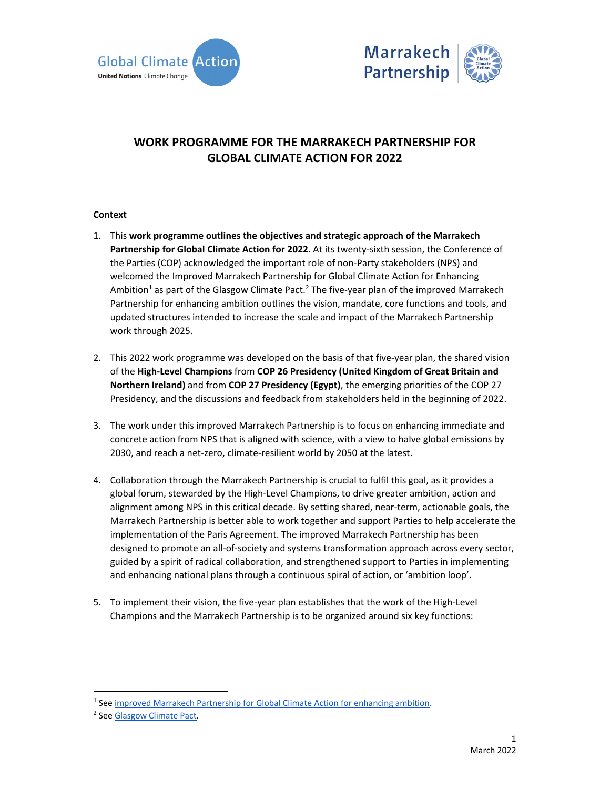



# **WORK PROGRAMME FOR THE MARRAKECH PARTNERSHIP FOR GLOBAL CLIMATE ACTION FOR 2022**

## **Context**

- 1. This **work programme outlines the objectives and strategic approach of the Marrakech Partnership for Global Climate Action for 2022**. At its twenty‐sixth session, the Conference of the Parties (COP) acknowledged the important role of non-Party stakeholders (NPS) and welcomed the Improved Marrakech Partnership for Global Climate Action for Enhancing Ambition<sup>1</sup> as part of the Glasgow Climate Pact.<sup>2</sup> The five-year plan of the improved Marrakech Partnership for enhancing ambition outlines the vision, mandate, core functions and tools, and updated structures intended to increase the scale and impact of the Marrakech Partnership work through 2025.
- 2. This 2022 work programme was developed on the basis of that five-year plan, the shared vision of the **High‐Level Champions** from **COP 26 Presidency (United Kingdom of Great Britain and Northern Ireland)** and from **COP 27 Presidency (Egypt)**, the emerging priorities of the COP 27 Presidency, and the discussions and feedback from stakeholders held in the beginning of 2022.
- 3. The work under this improved Marrakech Partnership is to focus on enhancing immediate and concrete action from NPS that is aligned with science, with a view to halve global emissions by 2030, and reach a net‐zero, climate‐resilient world by 2050 at the latest.
- 4. Collaboration through the Marrakech Partnership is crucial to fulfil this goal, as it provides a global forum, stewarded by the High‐Level Champions, to drive greater ambition, action and alignment among NPS in this critical decade. By setting shared, near‐term, actionable goals, the Marrakech Partnership is better able to work together and support Parties to help accelerate the implementation of the Paris Agreement. The improved Marrakech Partnership has been designed to promote an all‐of‐society and systems transformation approach across every sector, guided by a spirit of radical collaboration, and strengthened support to Parties in implementing and enhancing national plans through a continuous spiral of action, or 'ambition loop'.
- 5. To implement their vision, the five-year plan establishes that the work of the High-Level Champions and the Marrakech Partnership is to be organized around six key functions:

<sup>&</sup>lt;sup>1</sup> See improved Marrakech Partnership for Global Climate Action for enhancing ambition.

<sup>&</sup>lt;sup>2</sup> See Glasgow Climate Pact.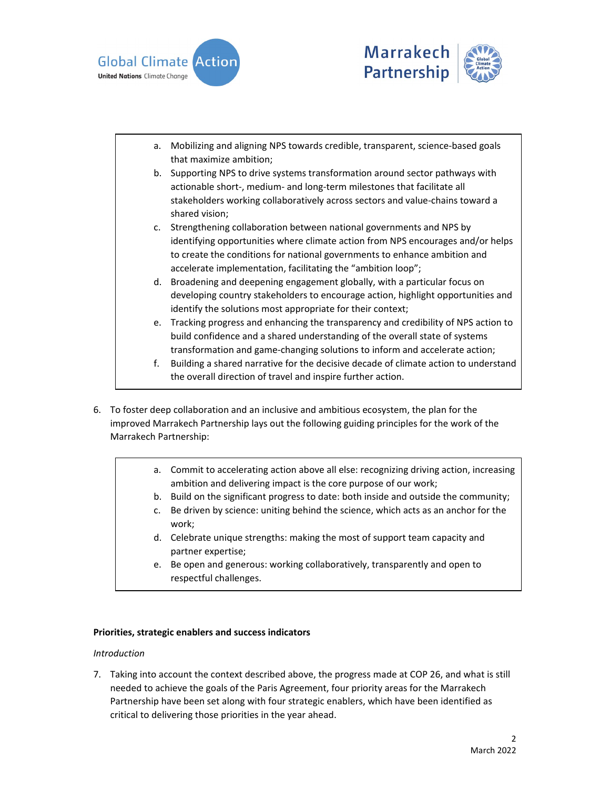



- a. Mobilizing and aligning NPS towards credible, transparent, science‐based goals that maximize ambition;
- b. Supporting NPS to drive systems transformation around sector pathways with actionable short‐, medium‐ and long‐term milestones that facilitate all stakeholders working collaboratively across sectors and value‐chains toward a shared vision;
- c. Strengthening collaboration between national governments and NPS by identifying opportunities where climate action from NPS encourages and/or helps to create the conditions for national governments to enhance ambition and accelerate implementation, facilitating the "ambition loop";
- d. Broadening and deepening engagement globally, with a particular focus on developing country stakeholders to encourage action, highlight opportunities and identify the solutions most appropriate for their context;
- e. Tracking progress and enhancing the transparency and credibility of NPS action to build confidence and a shared understanding of the overall state of systems transformation and game‐changing solutions to inform and accelerate action;
- f. Building a shared narrative for the decisive decade of climate action to understand the overall direction of travel and inspire further action.
- 6. To foster deep collaboration and an inclusive and ambitious ecosystem, the plan for the improved Marrakech Partnership lays out the following guiding principles for the work of the Marrakech Partnership:
	- a. Commit to accelerating action above all else: recognizing driving action, increasing ambition and delivering impact is the core purpose of our work;
	- b. Build on the significant progress to date: both inside and outside the community;
	- c. Be driven by science: uniting behind the science, which acts as an anchor for the work;
	- d. Celebrate unique strengths: making the most of support team capacity and partner expertise;
	- e. Be open and generous: working collaboratively, transparently and open to respectful challenges.

# **Priorities, strategic enablers and success indicators**

#### *Introduction*

7. Taking into account the context described above, the progress made at COP 26, and what is still needed to achieve the goals of the Paris Agreement, four priority areas for the Marrakech Partnership have been set along with four strategic enablers, which have been identified as critical to delivering those priorities in the year ahead.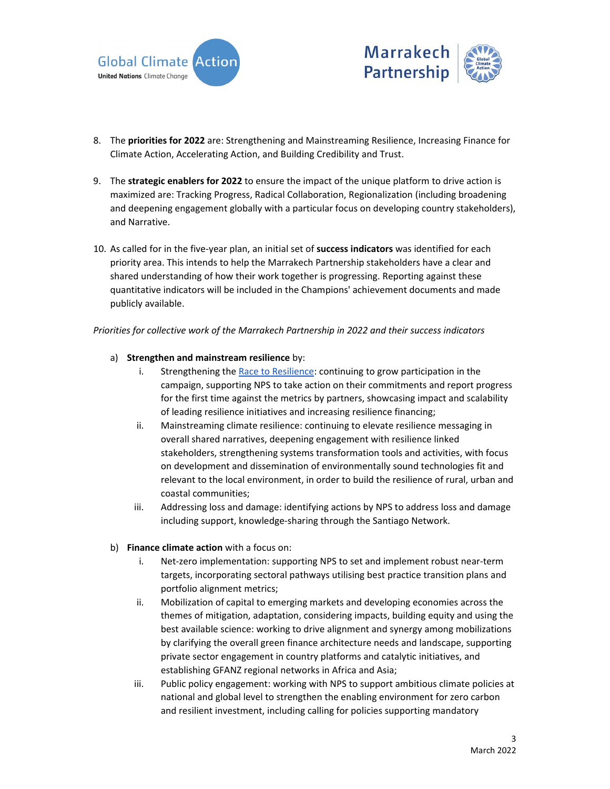



- 8. The **priorities for 2022** are: Strengthening and Mainstreaming Resilience, Increasing Finance for Climate Action, Accelerating Action, and Building Credibility and Trust.
- 9. The **strategic enablers for 2022** to ensure the impact of the unique platform to drive action is maximized are: Tracking Progress, Radical Collaboration, Regionalization (including broadening and deepening engagement globally with a particular focus on developing country stakeholders), and Narrative.
- 10. As called for in the five‐year plan, an initial set of **success indicators** was identified for each priority area. This intends to help the Marrakech Partnership stakeholders have a clear and shared understanding of how their work together is progressing. Reporting against these quantitative indicators will be included in the Champions' achievement documents and made publicly available.

*Priorities for collective work of the Marrakech Partnership in 2022 and their success indicators* 

#### a) **Strengthen and mainstream resilience** by:

- i. Strengthening the Race to Resilience: continuing to grow participation in the campaign, supporting NPS to take action on their commitments and report progress for the first time against the metrics by partners, showcasing impact and scalability of leading resilience initiatives and increasing resilience financing;
- ii. Mainstreaming climate resilience: continuing to elevate resilience messaging in overall shared narratives, deepening engagement with resilience linked stakeholders, strengthening systems transformation tools and activities, with focus on development and dissemination of environmentally sound technologies fit and relevant to the local environment, in order to build the resilience of rural, urban and coastal communities;
- iii. Addressing loss and damage: identifying actions by NPS to address loss and damage including support, knowledge‐sharing through the Santiago Network.
- b) **Finance climate action** with a focus on:
	- i. Net-zero implementation: supporting NPS to set and implement robust near-term targets, incorporating sectoral pathways utilising best practice transition plans and portfolio alignment metrics;
	- ii. Mobilization of capital to emerging markets and developing economies across the themes of mitigation, adaptation, considering impacts, building equity and using the best available science: working to drive alignment and synergy among mobilizations by clarifying the overall green finance architecture needs and landscape, supporting private sector engagement in country platforms and catalytic initiatives, and establishing GFANZ regional networks in Africa and Asia;
	- iii. Public policy engagement: working with NPS to support ambitious climate policies at national and global level to strengthen the enabling environment for zero carbon and resilient investment, including calling for policies supporting mandatory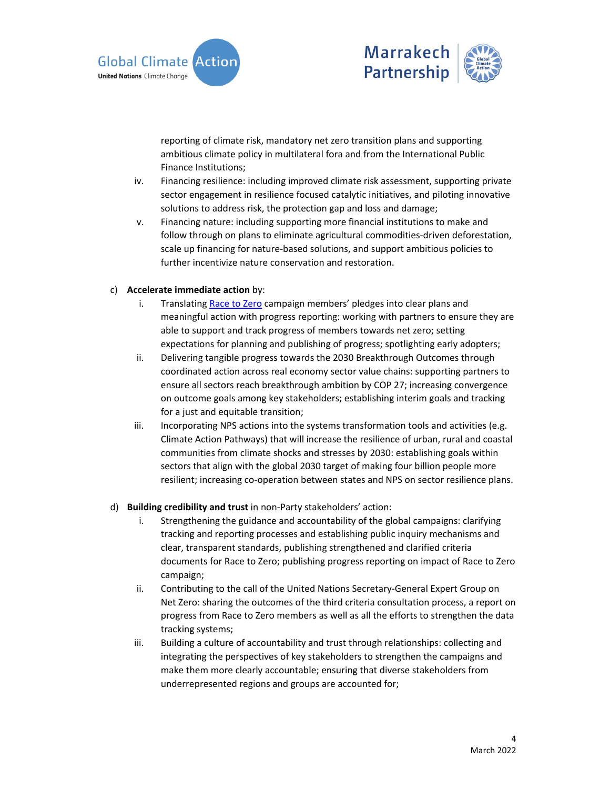



reporting of climate risk, mandatory net zero transition plans and supporting ambitious climate policy in multilateral fora and from the International Public Finance Institutions;

- iv. Financing resilience: including improved climate risk assessment, supporting private sector engagement in resilience focused catalytic initiatives, and piloting innovative solutions to address risk, the protection gap and loss and damage;
- v. Financing nature: including supporting more financial institutions to make and follow through on plans to eliminate agricultural commodities-driven deforestation, scale up financing for nature‐based solutions, and support ambitious policies to further incentivize nature conservation and restoration.

#### c) **Accelerate immediate action** by:

- i. Translating Race to Zero campaign members' pledges into clear plans and meaningful action with progress reporting: working with partners to ensure they are able to support and track progress of members towards net zero; setting expectations for planning and publishing of progress; spotlighting early adopters;
- ii. Delivering tangible progress towards the 2030 Breakthrough Outcomes through coordinated action across real economy sector value chains: supporting partners to ensure all sectors reach breakthrough ambition by COP 27; increasing convergence on outcome goals among key stakeholders; establishing interim goals and tracking for a just and equitable transition;
- iii. Incorporating NPS actions into the systems transformation tools and activities (e.g. Climate Action Pathways) that will increase the resilience of urban, rural and coastal communities from climate shocks and stresses by 2030: establishing goals within sectors that align with the global 2030 target of making four billion people more resilient; increasing co-operation between states and NPS on sector resilience plans.

# d) **Building credibility and trust** in non‐Party stakeholders' action:

- i. Strengthening the guidance and accountability of the global campaigns: clarifying tracking and reporting processes and establishing public inquiry mechanisms and clear, transparent standards, publishing strengthened and clarified criteria documents for Race to Zero; publishing progress reporting on impact of Race to Zero campaign;
- ii. Contributing to the call of the United Nations Secretary‐General Expert Group on Net Zero: sharing the outcomes of the third criteria consultation process, a report on progress from Race to Zero members as well as all the efforts to strengthen the data tracking systems;
- iii. Building a culture of accountability and trust through relationships: collecting and integrating the perspectives of key stakeholders to strengthen the campaigns and make them more clearly accountable; ensuring that diverse stakeholders from underrepresented regions and groups are accounted for;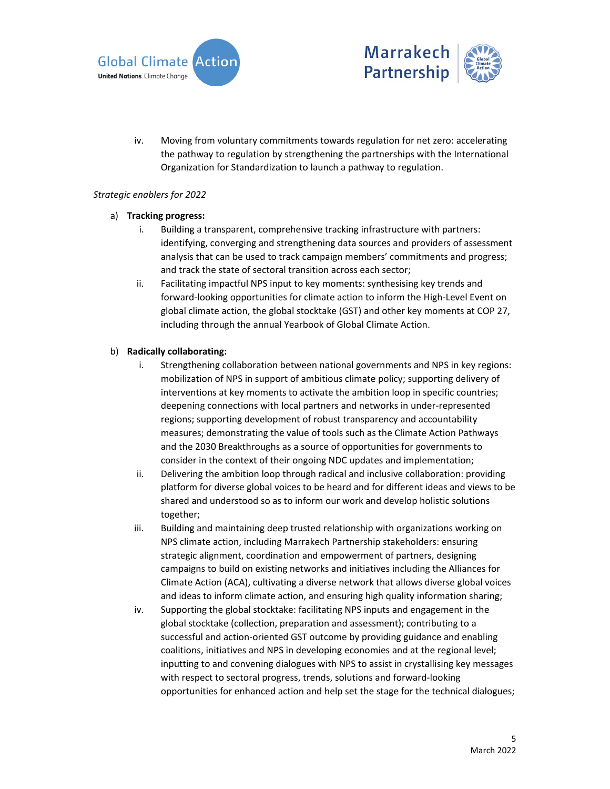



iv. Moving from voluntary commitments towards regulation for net zero: accelerating the pathway to regulation by strengthening the partnerships with the International Organization for Standardization to launch a pathway to regulation.

## *Strategic enablers for 2022*

## a) **Tracking progress:**

- i. Building a transparent, comprehensive tracking infrastructure with partners: identifying, converging and strengthening data sources and providers of assessment analysis that can be used to track campaign members' commitments and progress; and track the state of sectoral transition across each sector;
- ii. Facilitating impactful NPS input to key moments: synthesising key trends and forward‐looking opportunities for climate action to inform the High‐Level Event on global climate action, the global stocktake (GST) and other key moments at COP 27, including through the annual Yearbook of Global Climate Action.

## b) **Radically collaborating:**

- i. Strengthening collaboration between national governments and NPS in key regions: mobilization of NPS in support of ambitious climate policy; supporting delivery of interventions at key moments to activate the ambition loop in specific countries; deepening connections with local partners and networks in under‐represented regions; supporting development of robust transparency and accountability measures; demonstrating the value of tools such as the Climate Action Pathways and the 2030 Breakthroughs as a source of opportunities for governments to consider in the context of their ongoing NDC updates and implementation;
- ii. Delivering the ambition loop through radical and inclusive collaboration: providing platform for diverse global voices to be heard and for different ideas and views to be shared and understood so as to inform our work and develop holistic solutions together;
- iii. Building and maintaining deep trusted relationship with organizations working on NPS climate action, including Marrakech Partnership stakeholders: ensuring strategic alignment, coordination and empowerment of partners, designing campaigns to build on existing networks and initiatives including the Alliances for Climate Action (ACA), cultivating a diverse network that allows diverse global voices and ideas to inform climate action, and ensuring high quality information sharing;
- iv. Supporting the global stocktake: facilitating NPS inputs and engagement in the global stocktake (collection, preparation and assessment); contributing to a successful and action‐oriented GST outcome by providing guidance and enabling coalitions, initiatives and NPS in developing economies and at the regional level; inputting to and convening dialogues with NPS to assist in crystallising key messages with respect to sectoral progress, trends, solutions and forward‐looking opportunities for enhanced action and help set the stage for the technical dialogues;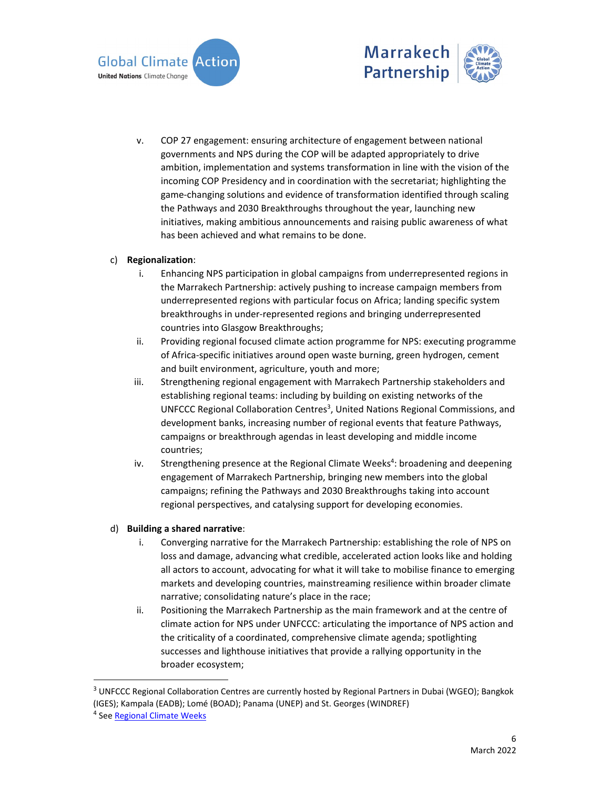



v. COP 27 engagement: ensuring architecture of engagement between national governments and NPS during the COP will be adapted appropriately to drive ambition, implementation and systems transformation in line with the vision of the incoming COP Presidency and in coordination with the secretariat; highlighting the game‐changing solutions and evidence of transformation identified through scaling the Pathways and 2030 Breakthroughs throughout the year, launching new initiatives, making ambitious announcements and raising public awareness of what has been achieved and what remains to be done.

# c) **Regionalization**:

- i. Enhancing NPS participation in global campaigns from underrepresented regions in the Marrakech Partnership: actively pushing to increase campaign members from underrepresented regions with particular focus on Africa; landing specific system breakthroughs in under‐represented regions and bringing underrepresented countries into Glasgow Breakthroughs;
- ii. Providing regional focused climate action programme for NPS: executing programme of Africa‐specific initiatives around open waste burning, green hydrogen, cement and built environment, agriculture, youth and more;
- iii. Strengthening regional engagement with Marrakech Partnership stakeholders and establishing regional teams: including by building on existing networks of the UNFCCC Regional Collaboration Centres<sup>3</sup>, United Nations Regional Commissions, and development banks, increasing number of regional events that feature Pathways, campaigns or breakthrough agendas in least developing and middle income countries;
- iv. Strengthening presence at the Regional Climate Weeks<sup>4</sup>: broadening and deepening engagement of Marrakech Partnership, bringing new members into the global campaigns; refining the Pathways and 2030 Breakthroughs taking into account regional perspectives, and catalysing support for developing economies.

#### d) **Building a shared narrative**:

- i. Converging narrative for the Marrakech Partnership: establishing the role of NPS on loss and damage, advancing what credible, accelerated action looks like and holding all actors to account, advocating for what it will take to mobilise finance to emerging markets and developing countries, mainstreaming resilience within broader climate narrative; consolidating nature's place in the race;
- ii. Positioning the Marrakech Partnership as the main framework and at the centre of climate action for NPS under UNFCCC: articulating the importance of NPS action and the criticality of a coordinated, comprehensive climate agenda; spotlighting successes and lighthouse initiatives that provide a rallying opportunity in the broader ecosystem;

<sup>&</sup>lt;sup>3</sup> UNFCCC Regional Collaboration Centres are currently hosted by Regional Partners in Dubai (WGEO); Bangkok (IGES); Kampala (EADB); Lomé (BOAD); Panama (UNEP) and St. Georges (WINDREF)

<sup>&</sup>lt;sup>4</sup> See <u>Regional Climate Weeks</u>